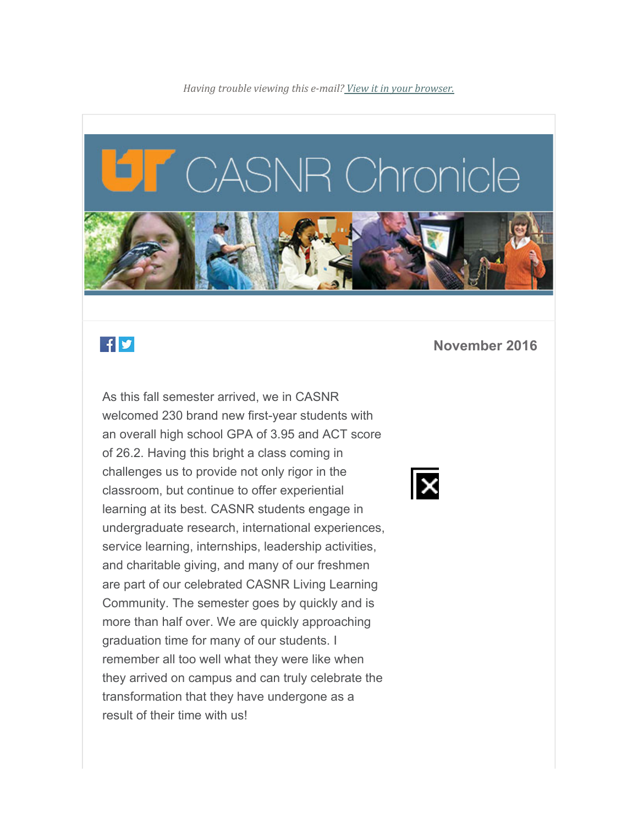

# $f$ y

As this fall semester arrived, we in CASNR welcomed 230 brand new first-year students with an overall high school GPA of 3.95 and ACT score of 26.2. Having this bright a class coming in challenges us to provide not only rigor in the classroom, but continue to offer experiential learning at its best. CASNR students engage in undergraduate research, international experiences, service learning, internships, leadership activities, and charitable giving, and many of our freshmen are part of our celebrated CASNR Living Learning Community. The semester goes by quickly and is more than half over. We are quickly approaching graduation time for many of our students. I remember all too well what they were like when they arrived on campus and can truly celebrate the transformation that they have undergone as a result of their time with us!

#### **November 2016**

IX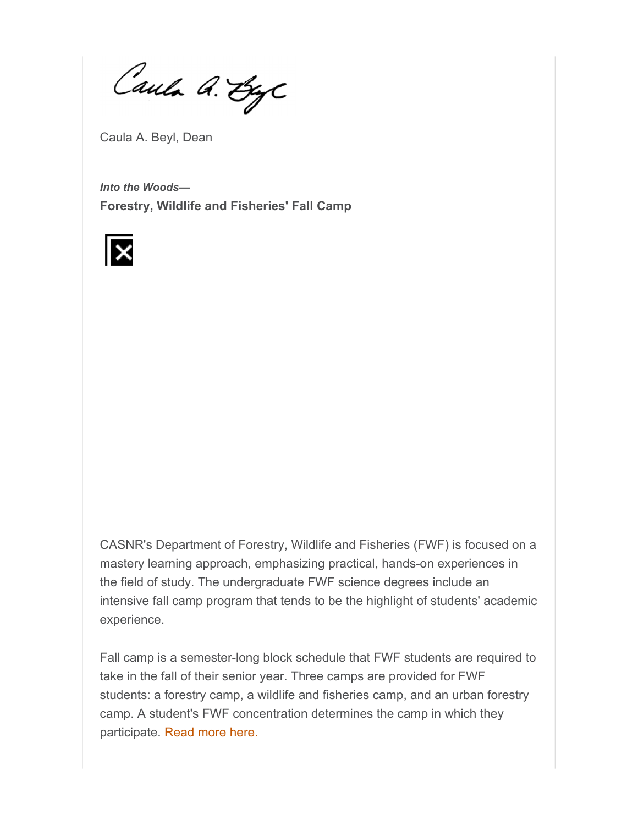Caula A. ByC

Caula A. Beyl, Dean

*Into the Woods—* **Forestry, Wildlife and Fisheries' Fall Camp** 



CASNR's Department of Forestry, Wildlife and Fisheries (FWF) is focused on a mastery learning approach, emphasizing practical, hands-on experiences in the field of study. The undergraduate FWF science degrees include an intensive fall camp program that tends to be the highlight of students' academic experience.

Fall camp is a semester-long block schedule that FWF students are required to take in the fall of their senior year. Three camps are provided for FWF students: a forestry camp, a wildlife and fisheries camp, and an urban forestry camp. A student's FWF concentration determines the camp in which they participate. Read more here.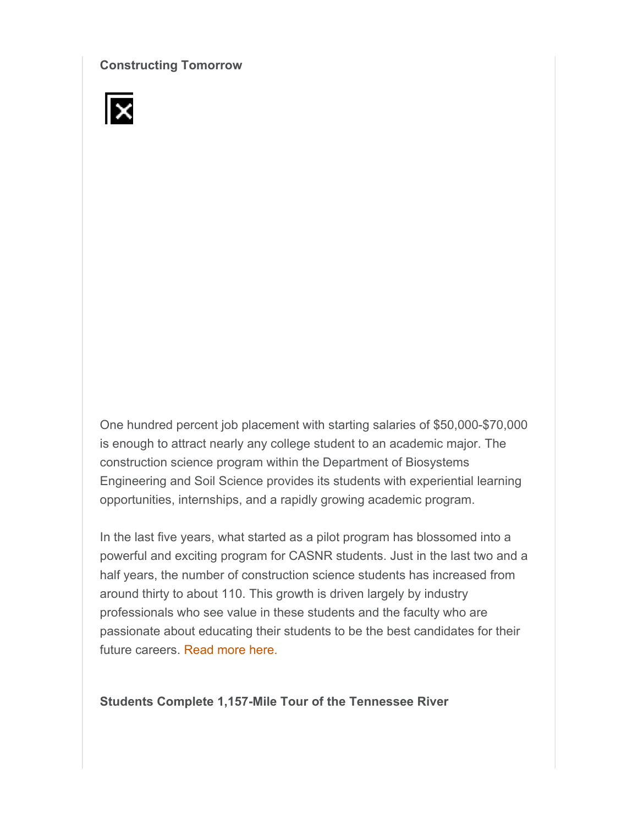**Constructing Tomorrow** 



One hundred percent job placement with starting salaries of \$50,000-\$70,000 is enough to attract nearly any college student to an academic major. The construction science program within the Department of Biosystems Engineering and Soil Science provides its students with experiential learning opportunities, internships, and a rapidly growing academic program.

In the last five years, what started as a pilot program has blossomed into a powerful and exciting program for CASNR students. Just in the last two and a half years, the number of construction science students has increased from around thirty to about 110. This growth is driven largely by industry professionals who see value in these students and the faculty who are passionate about educating their students to be the best candidates for their future careers. Read more here.

**Students Complete 1,157-Mile Tour of the Tennessee River**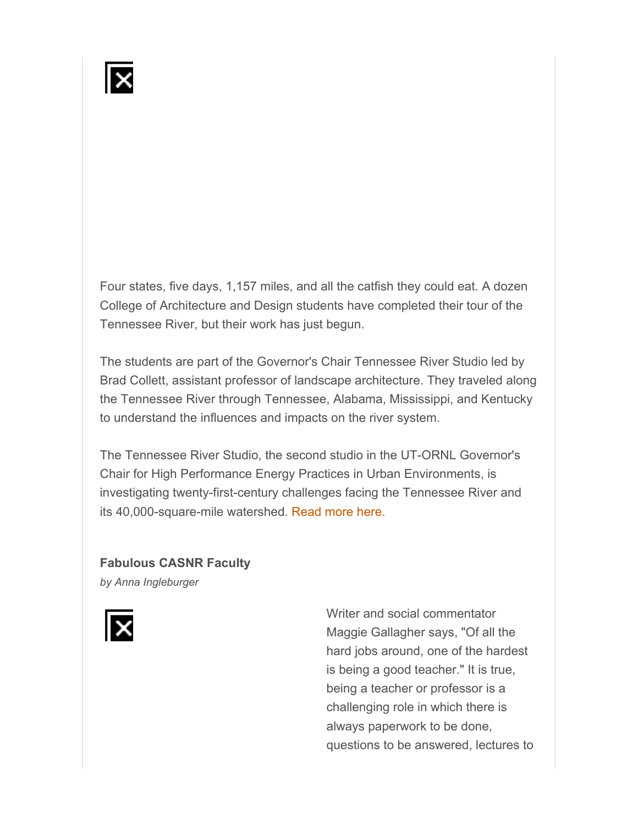Four states, five days, 1,157 miles, and all the catfish they could eat. A dozen College of Architecture and Design students have completed their tour of the Tennessee River, but their work has just begun.

The students are part of the Governor's Chair Tennessee River Studio led by Brad Collett, assistant professor of landscape architecture. They traveled along the Tennessee River through Tennessee, Alabama, Mississippi, and Kentucky to understand the influences and impacts on the river system.

The Tennessee River Studio, the second studio in the UT-ORNL Governor's Chair for High Performance Energy Practices in Urban Environments, is investigating twenty-first-century challenges facing the Tennessee River and its 40,000-square-mile watershed. Read more here.

#### **Fabulous CASNR Faculty**

*by Anna Ingleburger*



Writer and social commentator Maggie Gallagher says, "Of all the hard jobs around, one of the hardest is being a good teacher." It is true, being a teacher or professor is a challenging role in which there is always paperwork to be done, questions to be answered, lectures to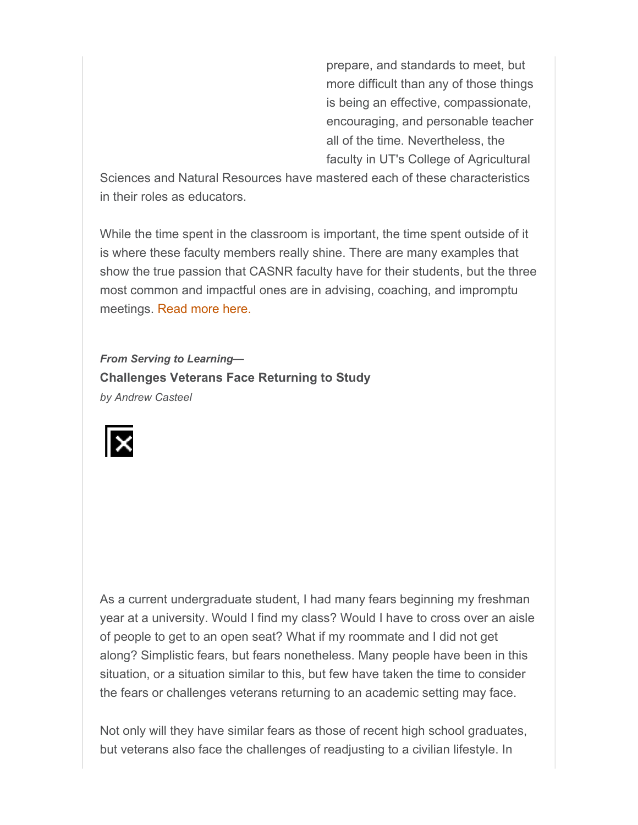prepare, and standards to meet, but more difficult than any of those things is being an effective, compassionate, encouraging, and personable teacher all of the time. Nevertheless, the faculty in UT's College of Agricultural

Sciences and Natural Resources have mastered each of these characteristics in their roles as educators.

While the time spent in the classroom is important, the time spent outside of it is where these faculty members really shine. There are many examples that show the true passion that CASNR faculty have for their students, but the three most common and impactful ones are in advising, coaching, and impromptu meetings. Read more here.

*From Serving to Learning—* **Challenges Veterans Face Returning to Study**  *by Andrew Casteel* 



As a current undergraduate student, I had many fears beginning my freshman year at a university. Would I find my class? Would I have to cross over an aisle of people to get to an open seat? What if my roommate and I did not get along? Simplistic fears, but fears nonetheless. Many people have been in this situation, or a situation similar to this, but few have taken the time to consider the fears or challenges veterans returning to an academic setting may face.

Not only will they have similar fears as those of recent high school graduates, but veterans also face the challenges of readjusting to a civilian lifestyle. In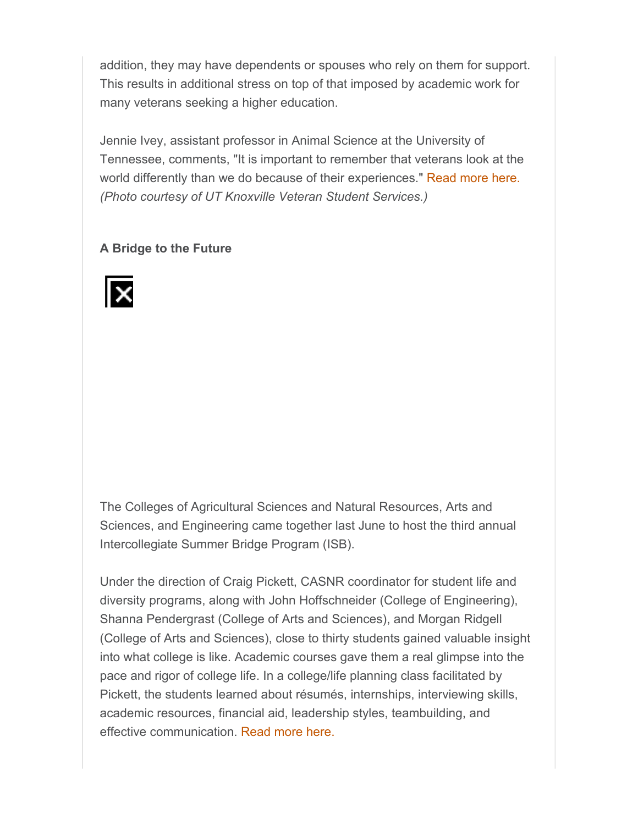addition, they may have dependents or spouses who rely on them for support. This results in additional stress on top of that imposed by academic work for many veterans seeking a higher education.

Jennie Ivey, assistant professor in Animal Science at the University of Tennessee, comments, "It is important to remember that veterans look at the world differently than we do because of their experiences." Read more here. *(Photo courtesy of UT Knoxville Veteran Student Services.)*

### **A Bridge to the Future**



The Colleges of Agricultural Sciences and Natural Resources, Arts and Sciences, and Engineering came together last June to host the third annual Intercollegiate Summer Bridge Program (ISB).

Under the direction of Craig Pickett, CASNR coordinator for student life and diversity programs, along with John Hoffschneider (College of Engineering), Shanna Pendergrast (College of Arts and Sciences), and Morgan Ridgell (College of Arts and Sciences), close to thirty students gained valuable insight into what college is like. Academic courses gave them a real glimpse into the pace and rigor of college life. In a college/life planning class facilitated by Pickett, the students learned about résumés, internships, interviewing skills, academic resources, financial aid, leadership styles, teambuilding, and effective communication. Read more here.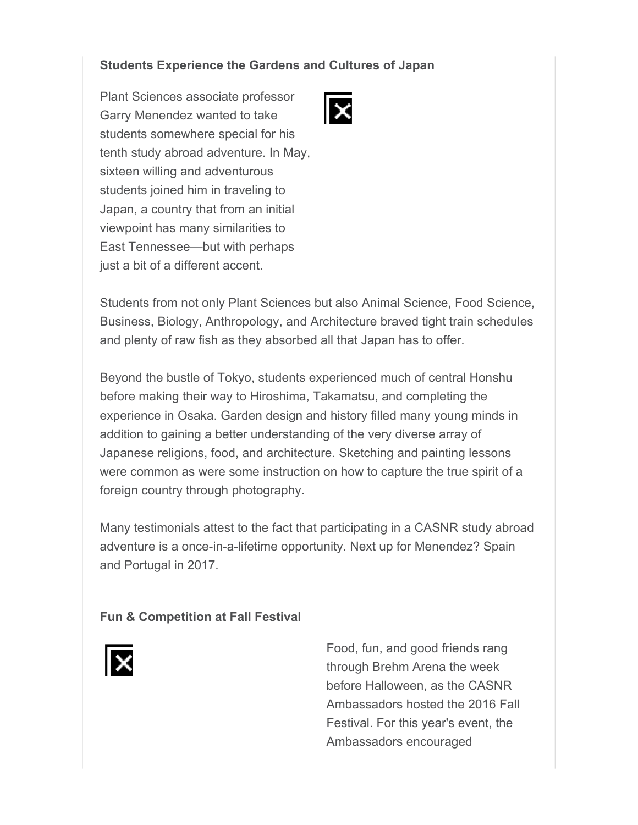# **Students Experience the Gardens and Cultures of Japan**

Plant Sciences associate professor Garry Menendez wanted to take students somewhere special for his tenth study abroad adventure. In May, sixteen willing and adventurous students joined him in traveling to Japan, a country that from an initial viewpoint has many similarities to East Tennessee—but with perhaps just a bit of a different accent.



Students from not only Plant Sciences but also Animal Science, Food Science, Business, Biology, Anthropology, and Architecture braved tight train schedules and plenty of raw fish as they absorbed all that Japan has to offer.

Beyond the bustle of Tokyo, students experienced much of central Honshu before making their way to Hiroshima, Takamatsu, and completing the experience in Osaka. Garden design and history filled many young minds in addition to gaining a better understanding of the very diverse array of Japanese religions, food, and architecture. Sketching and painting lessons were common as were some instruction on how to capture the true spirit of a foreign country through photography.

Many testimonials attest to the fact that participating in a CASNR study abroad adventure is a once-in-a-lifetime opportunity. Next up for Menendez? Spain and Portugal in 2017.

#### **Fun & Competition at Fall Festival**



Food, fun, and good friends rang through Brehm Arena the week before Halloween, as the CASNR Ambassadors hosted the 2016 Fall Festival. For this year's event, the Ambassadors encouraged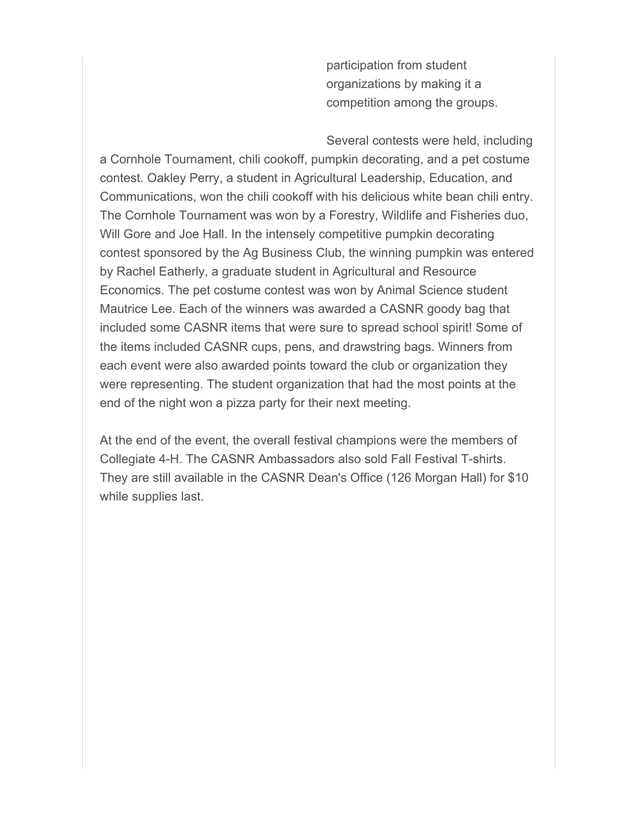participation from student organizations by making it a competition among the groups.

Several contests were held, including a Cornhole Tournament, chili cookoff, pumpkin decorating, and a pet costume contest. Oakley Perry, a student in Agricultural Leadership, Education, and Communications, won the chili cookoff with his delicious white bean chili entry. The Cornhole Tournament was won by a Forestry, Wildlife and Fisheries duo, Will Gore and Joe Hall. In the intensely competitive pumpkin decorating contest sponsored by the Ag Business Club, the winning pumpkin was entered by Rachel Eatherly, a graduate student in Agricultural and Resource Economics. The pet costume contest was won by Animal Science student Mautrice Lee. Each of the winners was awarded a CASNR goody bag that included some CASNR items that were sure to spread school spirit! Some of the items included CASNR cups, pens, and drawstring bags. Winners from each event were also awarded points toward the club or organization they were representing. The student organization that had the most points at the end of the night won a pizza party for their next meeting.

At the end of the event, the overall festival champions were the members of Collegiate 4-H. The CASNR Ambassadors also sold Fall Festival T-shirts. They are still available in the CASNR Dean's Office (126 Morgan Hall) for \$10 while supplies last.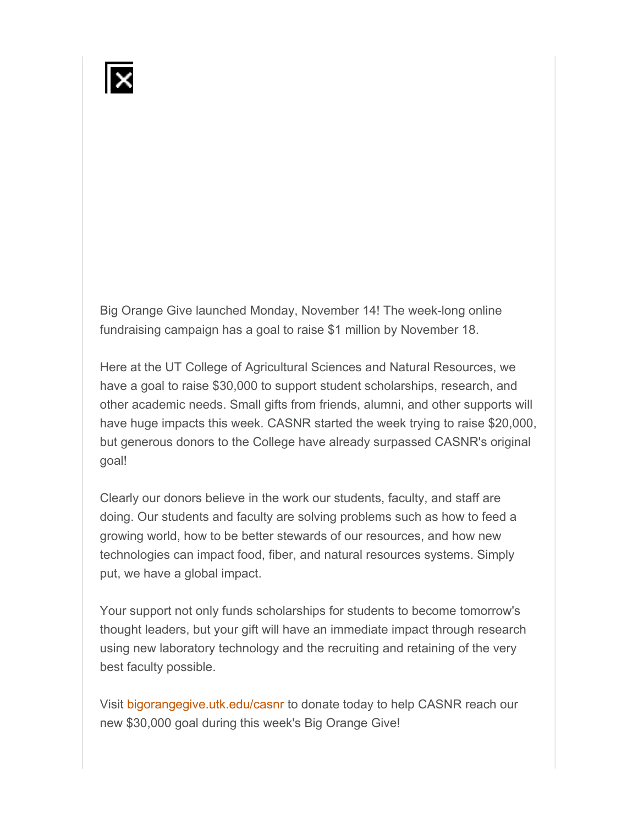Big Orange Give launched Monday, November 14! The week-long online fundraising campaign has a goal to raise \$1 million by November 18.

Here at the UT College of Agricultural Sciences and Natural Resources, we have a goal to raise \$30,000 to support student scholarships, research, and other academic needs. Small gifts from friends, alumni, and other supports will have huge impacts this week. CASNR started the week trying to raise \$20,000, but generous donors to the College have already surpassed CASNR's original goal!

Clearly our donors believe in the work our students, faculty, and staff are doing. Our students and faculty are solving problems such as how to feed a growing world, how to be better stewards of our resources, and how new technologies can impact food, fiber, and natural resources systems. Simply put, we have a global impact.

Your support not only funds scholarships for students to become tomorrow's thought leaders, but your gift will have an immediate impact through research using new laboratory technology and the recruiting and retaining of the very best faculty possible.

Visit bigorangegive.utk.edu/casnr to donate today to help CASNR reach our new \$30,000 goal during this week's Big Orange Give!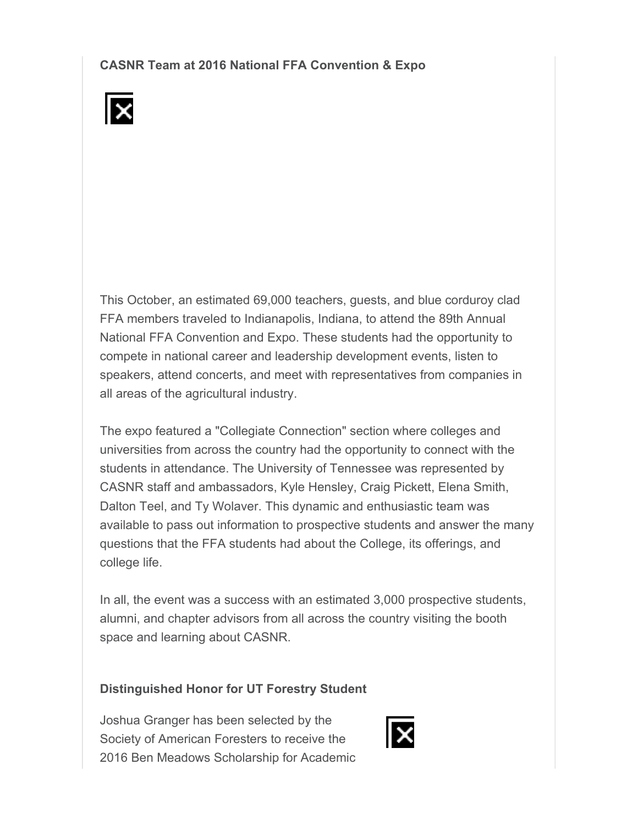**CASNR Team at 2016 National FFA Convention & Expo** 



This October, an estimated 69,000 teachers, guests, and blue corduroy clad FFA members traveled to Indianapolis, Indiana, to attend the 89th Annual National FFA Convention and Expo. These students had the opportunity to compete in national career and leadership development events, listen to speakers, attend concerts, and meet with representatives from companies in all areas of the agricultural industry.

The expo featured a "Collegiate Connection" section where colleges and universities from across the country had the opportunity to connect with the students in attendance. The University of Tennessee was represented by CASNR staff and ambassadors, Kyle Hensley, Craig Pickett, Elena Smith, Dalton Teel, and Ty Wolaver. This dynamic and enthusiastic team was available to pass out information to prospective students and answer the many questions that the FFA students had about the College, its offerings, and college life.

In all, the event was a success with an estimated 3,000 prospective students, alumni, and chapter advisors from all across the country visiting the booth space and learning about CASNR.

#### **Distinguished Honor for UT Forestry Student**

Joshua Granger has been selected by the Society of American Foresters to receive the 2016 Ben Meadows Scholarship for Academic

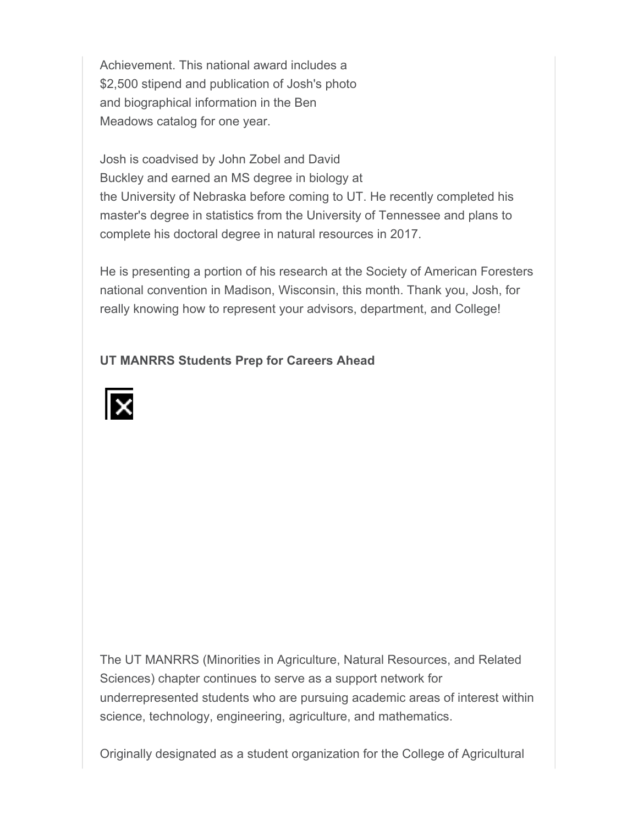Achievement. This national award includes a \$2,500 stipend and publication of Josh's photo and biographical information in the Ben Meadows catalog for one year.

Josh is coadvised by John Zobel and David Buckley and earned an MS degree in biology at the University of Nebraska before coming to UT. He recently completed his master's degree in statistics from the University of Tennessee and plans to complete his doctoral degree in natural resources in 2017.

He is presenting a portion of his research at the Society of American Foresters national convention in Madison, Wisconsin, this month. Thank you, Josh, for really knowing how to represent your advisors, department, and College!

## **UT MANRRS Students Prep for Careers Ahead**



The UT MANRRS (Minorities in Agriculture, Natural Resources, and Related Sciences) chapter continues to serve as a support network for underrepresented students who are pursuing academic areas of interest within science, technology, engineering, agriculture, and mathematics.

Originally designated as a student organization for the College of Agricultural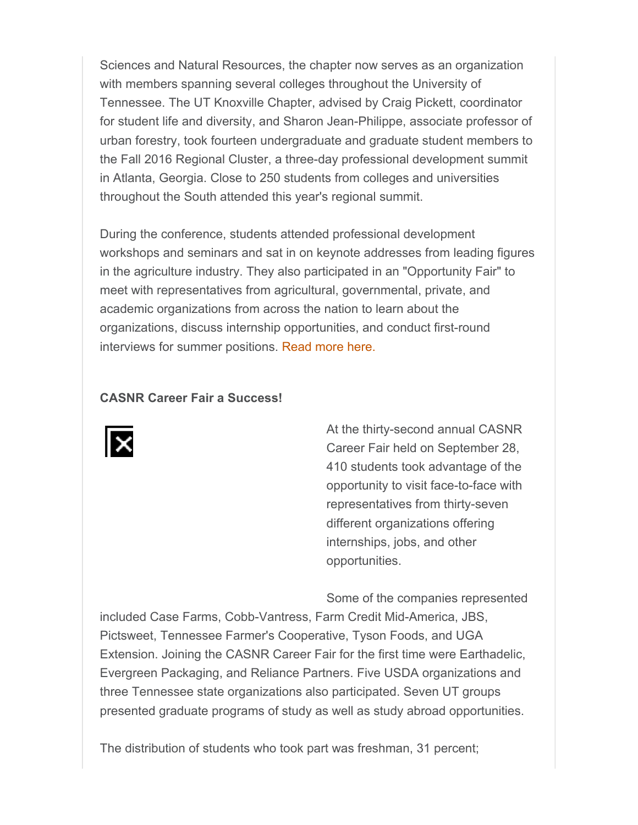Sciences and Natural Resources, the chapter now serves as an organization with members spanning several colleges throughout the University of Tennessee. The UT Knoxville Chapter, advised by Craig Pickett, coordinator for student life and diversity, and Sharon Jean-Philippe, associate professor of urban forestry, took fourteen undergraduate and graduate student members to the Fall 2016 Regional Cluster, a three-day professional development summit in Atlanta, Georgia. Close to 250 students from colleges and universities throughout the South attended this year's regional summit.

During the conference, students attended professional development workshops and seminars and sat in on keynote addresses from leading figures in the agriculture industry. They also participated in an "Opportunity Fair" to meet with representatives from agricultural, governmental, private, and academic organizations from across the nation to learn about the organizations, discuss internship opportunities, and conduct first-round interviews for summer positions. Read more here.

#### **CASNR Career Fair a Success!**



At the thirty-second annual CASNR Career Fair held on September 28, 410 students took advantage of the opportunity to visit face-to-face with representatives from thirty-seven different organizations offering internships, jobs, and other opportunities.

Some of the companies represented

included Case Farms, Cobb-Vantress, Farm Credit Mid-America, JBS, Pictsweet, Tennessee Farmer's Cooperative, Tyson Foods, and UGA Extension. Joining the CASNR Career Fair for the first time were Earthadelic, Evergreen Packaging, and Reliance Partners. Five USDA organizations and three Tennessee state organizations also participated. Seven UT groups presented graduate programs of study as well as study abroad opportunities.

The distribution of students who took part was freshman, 31 percent;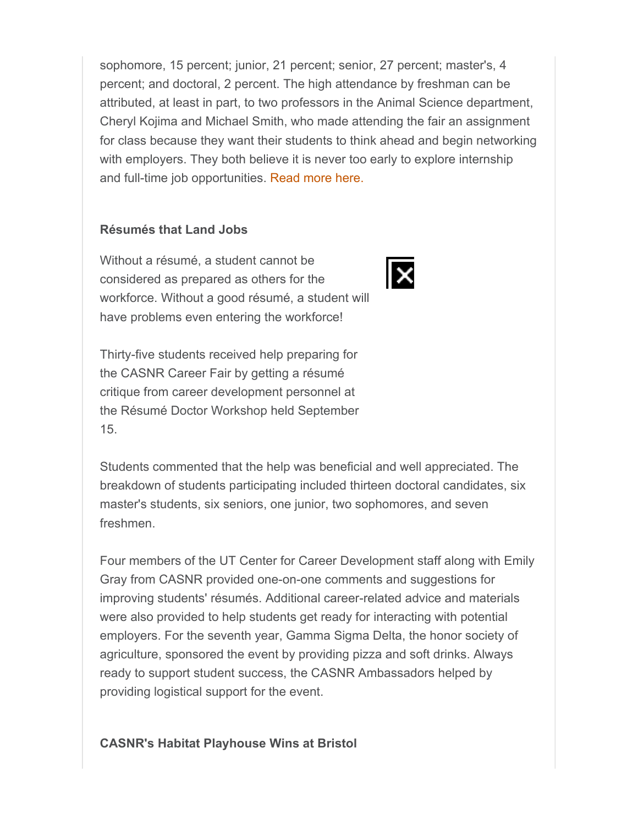sophomore, 15 percent; junior, 21 percent; senior, 27 percent; master's, 4 percent; and doctoral, 2 percent. The high attendance by freshman can be attributed, at least in part, to two professors in the Animal Science department, Cheryl Kojima and Michael Smith, who made attending the fair an assignment for class because they want their students to think ahead and begin networking with employers. They both believe it is never too early to explore internship and full-time job opportunities. Read more here.

ΙX

#### **Résumés that Land Jobs**

Without a résumé, a student cannot be considered as prepared as others for the workforce. Without a good résumé, a student will have problems even entering the workforce!

Thirty-five students received help preparing for the CASNR Career Fair by getting a résumé critique from career development personnel at the Résumé Doctor Workshop held September 15.



Four members of the UT Center for Career Development staff along with Emily Gray from CASNR provided one-on-one comments and suggestions for improving students' résumés. Additional career-related advice and materials were also provided to help students get ready for interacting with potential employers. For the seventh year, Gamma Sigma Delta, the honor society of agriculture, sponsored the event by providing pizza and soft drinks. Always ready to support student success, the CASNR Ambassadors helped by providing logistical support for the event.

#### **CASNR's Habitat Playhouse Wins at Bristol**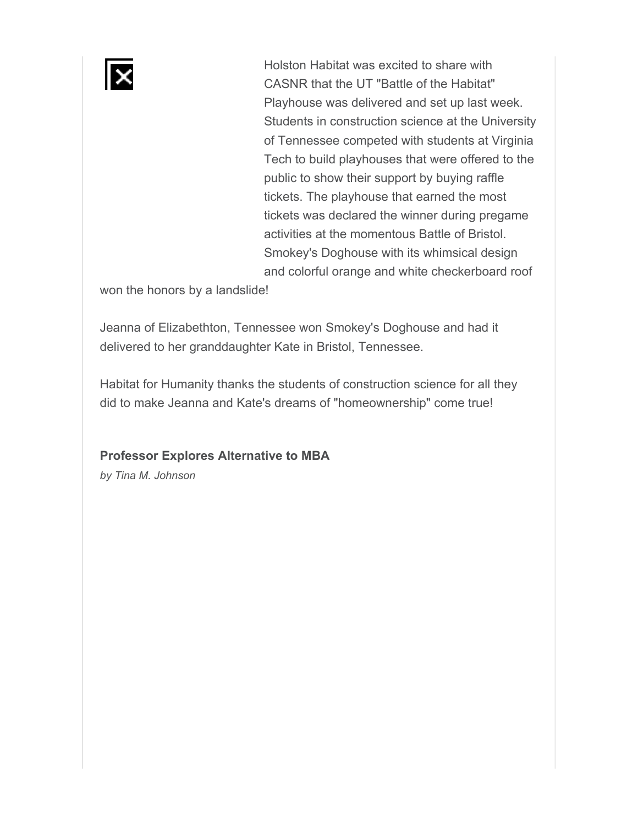Holston Habitat was excited to share with CASNR that the UT "Battle of the Habitat" Playhouse was delivered and set up last week. Students in construction science at the University of Tennessee competed with students at Virginia Tech to build playhouses that were offered to the public to show their support by buying raffle tickets. The playhouse that earned the most tickets was declared the winner during pregame activities at the momentous Battle of Bristol. Smokey's Doghouse with its whimsical design and colorful orange and white checkerboard roof

won the honors by a landslide!

Jeanna of Elizabethton, Tennessee won Smokey's Doghouse and had it delivered to her granddaughter Kate in Bristol, Tennessee.

Habitat for Humanity thanks the students of construction science for all they did to make Jeanna and Kate's dreams of "homeownership" come true!

**Professor Explores Alternative to MBA** 

*by Tina M. Johnson*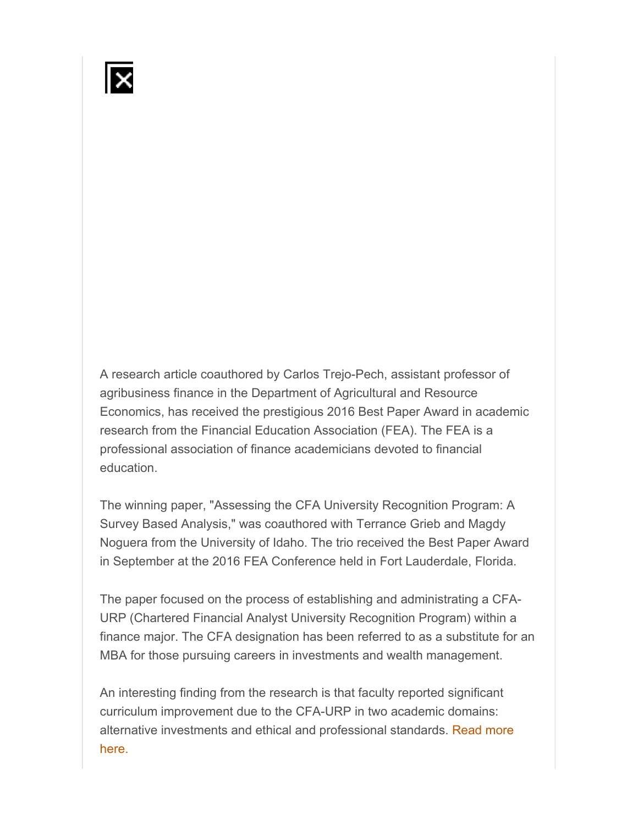A research article coauthored by Carlos Trejo-Pech, assistant professor of agribusiness finance in the Department of Agricultural and Resource Economics, has received the prestigious 2016 Best Paper Award in academic research from the Financial Education Association (FEA). The FEA is a professional association of finance academicians devoted to financial education.

The winning paper, "Assessing the CFA University Recognition Program: A Survey Based Analysis," was coauthored with Terrance Grieb and Magdy Noguera from the University of Idaho. The trio received the Best Paper Award in September at the 2016 FEA Conference held in Fort Lauderdale, Florida.

The paper focused on the process of establishing and administrating a CFA-URP (Chartered Financial Analyst University Recognition Program) within a finance major. The CFA designation has been referred to as a substitute for an MBA for those pursuing careers in investments and wealth management.

An interesting finding from the research is that faculty reported significant curriculum improvement due to the CFA-URP in two academic domains: alternative investments and ethical and professional standards. Read more here.